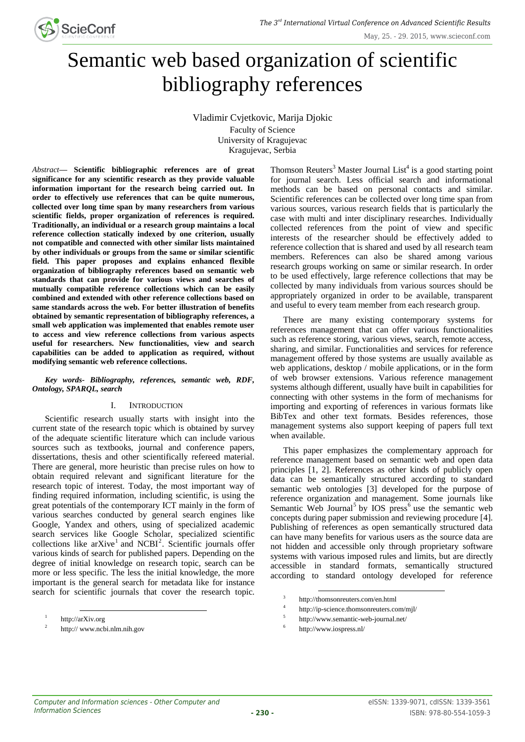

# Semantic web based organization of scientific bibliography references

Vladimir Cvjetkovic, Marija Djokic

Faculty of Science University of Kragujevac Kragujevac, Serbia

*Abstract***— Scientific bibliographic references are of great significance for any scientific research as they provide valuable information important for the research being carried out. In order to effectively use references that can be quite numerous, collected over long time span by many researchers from various scientific fields, proper organization of references is required. Traditionally, an individual or a research group maintains a local reference collection statically indexed by one criterion, usually not compatible and connected with other similar lists maintained by other individuals or groups from the same or similar scientific field. This paper proposes and explains enhanced flexible organization of bibliography references based on semantic web standards that can provide for various views and searches of mutually compatible reference collections which can be easily combined and extended with other reference collections based on same standards across the web. For better illustration of benefits obtained by semantic representation of bibliography references, a small web application was implemented that enables remote user to access and view reference collections from various aspects useful for researchers. New functionalities, view and search capabilities can be added to application as required, without modifying semantic web reference collections.**

# *Key words- Bibliography, references, semantic web, RDF, Ontology, SPARQL, search*

# I. INTRODUCTION

Scientific research usually starts with insight into the current state of the research topic which is obtained by survey of the adequate scientific literature which can include various sources such as textbooks, journal and conference papers, dissertations, thesis and other scientifically refereed material. There are general, more heuristic than precise rules on how to obtain required relevant and significant literature for the research topic of interest. Today, the most important way of finding required information, including scientific, is using the great potentials of the contemporary ICT mainly in the form of various searches conducted by general search engines like Google, Yandex and others, using of specialized academic search services like Google Scholar, specialized scientific collections like  $arXive<sup>1</sup>$  and NCBI<sup>2</sup>. Scientific journals offer various kinds of search for published papers. Depending on the degree of initial knowledge on research topic, search can be more or less specific. The less the initial knowledge, the more important is the general search for metadata like for instance search for scientific journals that cover the research topic.

Thomson Reuters<sup>3</sup> Master Journal List<sup>4</sup> is a good starting point for journal search. Less official search and informational methods can be based on personal contacts and similar. Scientific references can be collected over long time span from various sources, various research fields that is particularly the case with multi and inter disciplinary researches. Individually collected references from the point of view and specific interests of the researcher should be effectively added to reference collection that is shared and used by all research team members. References can also be shared among various research groups working on same or similar research. In order to be used effectively, large reference collections that may be collected by many individuals from various sources should be appropriately organized in order to be available, transparent and useful to every team member from each research group.

There are many existing contemporary systems for references management that can offer various functionalities such as reference storing, various views, search, remote access, sharing, and similar. Functionalities and services for reference management offered by those systems are usually available as web applications, desktop / mobile applications, or in the form of web browser extensions. Various reference management systems although different, usually have built in capabilities for connecting with other systems in the form of mechanisms for importing and exporting of references in various formats like BibTex and other text formats. Besides references, those management systems also support keeping of papers full text when available.

This paper emphasizes the complementary approach for reference management based on semantic web and open data principles [1, 2]. References as other kinds of publicly open data can be semantically structured according to standard semantic web ontologies [3] developed for the purpose of reference organization and management. Some journals like Semantic Web Journal<sup>5</sup> by IOS press<sup>6</sup> use the semantic web concepts during paper submission and reviewing procedure [4]. Publishing of references as open semantically structured data can have many benefits for various users as the source data are not hidden and accessible only through proprietary software systems with various imposed rules and limits, but are directly accessible in standard formats, semantically structured according to standard ontology developed for reference

1

l  $1$  http://arXiv.org

<sup>&</sup>lt;sup>2</sup> http:// www.ncbi.nlm.nih.gov

 $3$ http://thomsonreuters.com/en.html

<sup>4</sup>http://ip-science.thomsonreuters.com/mjl/

<sup>5</sup>http://www.semantic-web-journal.net/

<sup>6</sup>http://www.iospress.nl/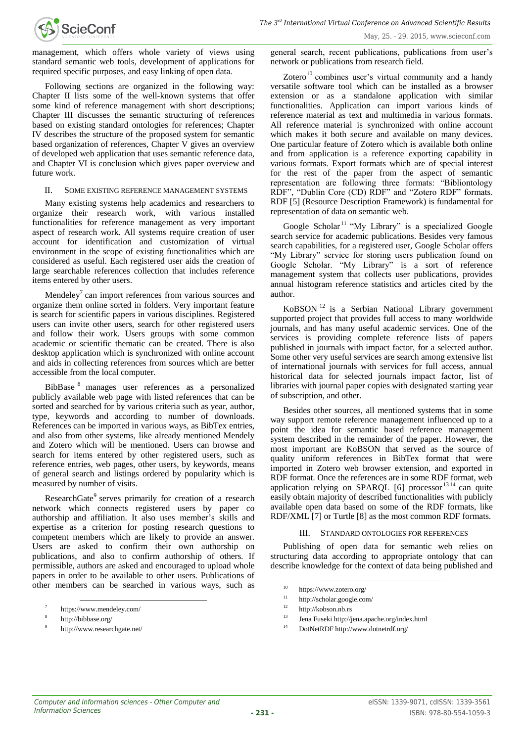management, which offers whole variety of views using standard semantic web tools, development of applications for required specific purposes, and easy linking of open data.

Following sections are organized in the following way: Chapter II lists some of the well-known systems that offer some kind of reference management with short descriptions; Chapter III discusses the semantic structuring of references based on existing standard ontologies for references; Chapter IV describes the structure of the proposed system for semantic based organization of references, Chapter V gives an overview of developed web application that uses semantic reference data, and Chapter VI is conclusion which gives paper overview and future work.

## II. SOME EXISTING REFERENCE MANAGEMENT SYSTEMS

Many existing systems help academics and researchers to organize their research work, with various installed functionalities for reference management as very important aspect of research work. All systems require creation of user account for identification and customization of virtual environment in the scope of existing functionalities which are considered as useful. Each registered user aids the creation of large searchable references collection that includes reference items entered by other users.

Mendeley<sup>7</sup> can import references from various sources and organize them online sorted in folders. Very important feature is search for scientific papers in various disciplines. Registered users can invite other users, search for other registered users and follow their work. Users groups with some common academic or scientific thematic can be created. There is also desktop application which is synchronized with online account and aids in collecting references from sources which are better accessible from the local computer.

BibBase <sup>8</sup> manages user references as a personalized publicly available web page with listed references that can be sorted and searched for by various criteria such as year, author, type, keywords and according to number of downloads. References can be imported in various ways, as BibTex entries, and also from other systems, like already mentioned Mendely and Zotero which will be mentioned. Users can browse and search for items entered by other registered users, such as reference entries, web pages, other users, by keywords, means of general search and listings ordered by popularity which is measured by number of visits.

ResearchGate<sup>9</sup> serves primarily for creation of a research network which connects registered users by paper co authorship and affiliation. It also uses member's skills and expertise as a criterion for posting research questions to competent members which are likely to provide an answer. Users are asked to confirm their own authorship on publications, and also to confirm authorship of others. If permissible, authors are asked and encouraged to upload whole papers in order to be available to other users. Publications of other members can be searched in various ways, such as

http://bibbase.org/

l

general search, recent publications, publications from user's network or publications from research field.

May, 25. - 29. 2015, www.scieconf.com

Zotero<sup>10</sup> combines user's virtual community and a handy versatile software tool which can be installed as a browser extension or as a standalone application with similar functionalities. Application can import various kinds of reference material as text and multimedia in various formats. All reference material is synchronized with online account which makes it both secure and available on many devices. One particular feature of Zotero which is available both online and from application is a reference exporting capability in various formats. Export formats which are of special interest for the rest of the paper from the aspect of semantic representation are following three formats: "Bibliontology RDF", "Dublin Core (CD) RDF" and "Zotero RDF" formats. RDF [5] (Resource Description Framework) is fundamental for representation of data on semantic web.

Google Scholar<sup>11</sup> "My Library" is a specialized Google search service for academic publications. Besides very famous search capabilities, for a registered user, Google Scholar offers "My Library" service for storing users publication found on Google Scholar. "My Library" is a sort of reference management system that collects user publications, provides annual histogram reference statistics and articles cited by the author.

KoBSON <sup>12</sup> is a Serbian National Library government supported project that provides full access to many worldwide journals, and has many useful academic services. One of the services is providing complete reference lists of papers published in journals with impact factor, for a selected author. Some other very useful services are search among extensive list of international journals with services for full access, annual historical data for selected journals impact factor, list of libraries with journal paper copies with designated starting year of subscription, and other.

Besides other sources, all mentioned systems that in some way support remote reference management influenced up to a point the idea for semantic based reference management system described in the remainder of the paper. However, the most important are KoBSON that served as the source of quality uniform references in BibTex format that were imported in Zotero web browser extension, and exported in RDF format. Once the references are in some RDF format, web application relying on SPARQL  $[6]$  processor  $1314$  can quite easily obtain majority of described functionalities with publicly available open data based on some of the RDF formats, like RDF/XML [7] or Turtle [8] as the most common RDF formats.

# III. STANDARD ONTOLOGIES FOR REFERENCES

Publishing of open data for semantic web relies on structuring data according to appropriate ontology that can describe knowledge for the context of data being published and

1

- $13$  Jena Fuseki http://jena.apache.org/index.html
- <sup>14</sup> DotNetRDF http://www.dotnetrdf.org/

<sup>7</sup>https://www.mendeley.com/

http://www.researchgate.net/

 $10$  https://www.zotero.org/

<sup>11</sup>http://scholar.google.com/

 $12$  http://kobson.nb.rs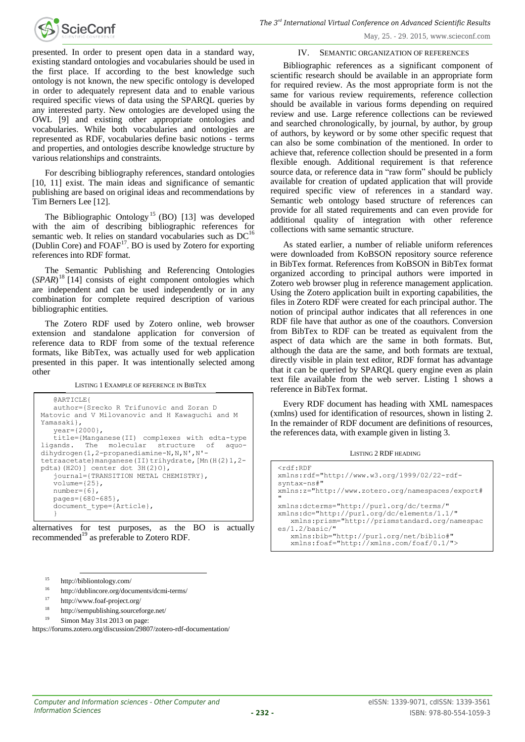

presented. In order to present open data in a standard way, existing standard ontologies and vocabularies should be used in the first place. If according to the best knowledge such ontology is not known, the new specific ontology is developed in order to adequately represent data and to enable various required specific views of data using the SPARQL queries by any interested party. New ontologies are developed using the OWL [9] and existing other appropriate ontologies and vocabularies. While both vocabularies and ontologies are represented as RDF, vocabularies define basic notions - terms and properties, and ontologies describe knowledge structure by various relationships and constraints.

For describing bibliography references, standard ontologies [10, 11] exist. The main ideas and significance of semantic publishing are based on original ideas and recommendations by Tim Berners Lee [12].

The Bibliographic Ontology<sup>15</sup> (BO) [13] was developed with the aim of describing bibliographic references for semantic web. It relies on standard vocabularies such as DC<sup>16</sup> (Dublin Core) and  $FOAF<sup>17</sup>$ . BO is used by Zotero for exporting references into RDF format.

The Semantic Publishing and Referencing Ontologies (*SPAR*) <sup>18</sup> [14] consists of eight component ontologies which are independent and can be used independently or in any combination for complete required description of various bibliographic entities.

The Zotero RDF used by Zotero online, web browser extension and standalone application for conversion of reference data to RDF from some of the textual reference formats, like BibTex, was actually used for web application presented in this paper. It was intentionally selected among other

LISTING 1 EXAMPLE OF REFERENCE IN BIBTEX

```
@ARTICLE{
   author={Srecko R Trifunovic and Zoran D 
Matovic and V Milovanovic and H Kawaguchi and M 
Yamasaki},
   year={2000},
   title={Manganese(II) complexes with edta-type 
ligands. The molecular structure of aquo-
dihydrogen(1,2-propanediamine-N,N,N',N'-
tetraacetate)manganese(II)trihydrate,[Mn(H(2)1,2-
pdta)(H2O)] center dot 3H(2)O,
   journal={TRANSITION METAL CHEMISTRY},
   volume = {25},
   number={6},
   pages={680-685},
   document type={Article},
   }
```
alternatives for test purposes, as the BO is actually recommended<sup>19</sup> as preferable to Zotero RDF.

 $15$  http://bibliontology.com/

l

- $16$  http://dublincore.org/documents/dcmi-terms/
- <sup>17</sup> http://www.foaf-project.org/
- <sup>18</sup> http://sempublishing.sourceforge.net/
- Simon May 31st 2013 on page:

https://forums.zotero.org/discussion/29807/zotero-rdf-documentation/

IV. SEMANTIC ORGANIZATION OF REFERENCES

Bibliographic references as a significant component of scientific research should be available in an appropriate form for required review. As the most appropriate form is not the same for various review requirements, reference collection should be available in various forms depending on required review and use. Large reference collections can be reviewed and searched chronologically, by journal, by author, by group of authors, by keyword or by some other specific request that can also be some combination of the mentioned. In order to achieve that, reference collection should be presented in a form flexible enough. Additional requirement is that reference source data, or reference data in "raw form" should be publicly available for creation of updated application that will provide required specific view of references in a standard way. Semantic web ontology based structure of references can provide for all stated requirements and can even provide for additional quality of integration with other reference collections with same semantic structure.

As stated earlier, a number of reliable uniform references were downloaded from KoBSON repository source reference in BibTex format. References from KoBSON in BibTex format organized according to principal authors were imported in Zotero web browser plug in reference management application. Using the Zotero application built in exporting capabilities, the files in Zotero RDF were created for each principal author. The notion of principal author indicates that all references in one RDF file have that author as one of the coauthors. Conversion from BibTex to RDF can be treated as equivalent from the aspect of data which are the same in both formats. But, although the data are the same, and both formats are textual, directly visible in plain text editor, RDF format has advantage that it can be queried by SPARQL query engine even as plain text file available from the web server. Listing 1 shows a reference in BibTex format.

Every RDF document has heading with XML namespaces (xmlns) used for identification of resources, shown in listing 2. In the remainder of RDF document are definitions of resources, the references data, with example given in listing 3.

LISTING 2 RDF HEADING

| $<$ rdf:RDF<br>xmlns:rdf="http://www.w3.org/1999/02/22-rdf-<br>syntax-ns#"<br>xmlns:z="http://www.zotero.org/namespaces/export#<br>$\mathbf{H}$             |
|-------------------------------------------------------------------------------------------------------------------------------------------------------------|
| xmlns:dcterms="http://purl.org/dc/terms/"<br>xmlns:dc="http://purl.org/dc/elements/1.1/"<br>xmlns:prism="http://prismstandard.org/namespac<br>es/1.2/basic/ |
| xmlns:bib="http://purl.org/net/biblio#"<br>xmlns:foaf="http://xmlns.com/foaf/0.1/">                                                                         |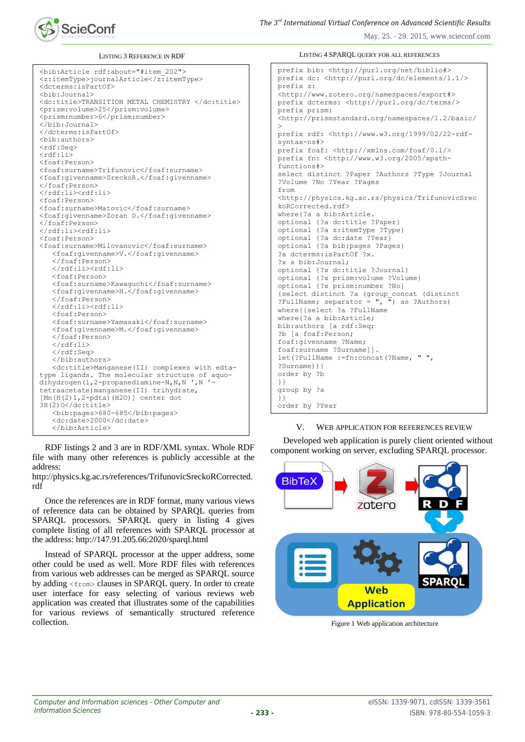

LISTING 3 REFERENCE IN RDF

```
<bib:Article rdf:about="#item_202">
<z:itemType>journalArticle</z:itemType>
<dcterms:isPartOf>
<bib:Journal>
<dc:title>TRANSITION METAL CHEMISTRY </dc:title>
<prism:volume>25</prism:volume>
<prism:number>6</prism:number>
</bib:Journal>
</dcterms:isPartOf>
<bib:authors>
<rdf:Seq>
<sub>rdf</sub>:115</sub>
<foaf:Person>
<foaf:surname>Trifunovic</foaf:surname>
<foaf:givenname>SreckoR.</foaf:givenname>
</foaf:Person>
\langle/rdf:li\rangle<rdf:li\rangle<foaf:Person>
<foaf:surname>Matovic</foaf:surname>
<foaf:givenname>Zoran D.</foaf:givenname>
</foaf:Person>
</rdf:li><rdf:li>
<foaf:Person>
<foaf:surname>Milovanovic</foaf:surname>
   <foaf:givenname>V.</foaf:givenname>
   </foaf:Person>
   </rdf:li><rdf:li>
   <foaf:Person>
   <foaf:surname>Kawaguchi</foaf:surname>
   <foaf:givenname>H.</foaf:givenname>
   </foaf:Person>
   \langle/rdf:li>\langlerdf:li\rangle<foaf:Person>
   <foaf:surname>Yamasaki</foaf:surname>
   <foaf:givenname>M.</foaf:givenname>
   </foaf:Person>
   \langle/rdf:li>
   </rdf:Seq>
   </bib:authors>
   <dc:title>Manganese(II) complexes with edta-
type ligands. The molecular structure of aquo-
dihydrogen(1,2-propanediamine-N,N,N ',N '-
tetraacetate)manganese(II) trihydrate, 
[Mn(H(2)1,2-pdta)(H2O)] center dot 
3H(2)O</dc:title>
   <bib:pages>680-685</bib:pages>
   <dc:date>2000</dc:date>
   </bib:Article>
```
RDF listings 2 and 3 are in RDF/XML syntax. Whole RDF file with many other references is publicly accessible at the address:

http://physics.kg.ac.rs/references/TrifunovicSreckoRCorrected. rdf

Once the references are in RDF format, many various views of reference data can be obtained by SPARQL queries from SPARQL processors. SPARQL query in listing 4 gives complete listing of all references with SPARQL processor at the address: http://147.91.205.66:2020/sparql.html

Instead of SPARQL processor at the upper address, some other could be used as well. More RDF files with references from various web addresses can be merged as SPARQL source by adding <from> clauses in SPARQL query. In order to create user interface for easy selecting of various reviews web application was created that illustrates some of the capabilities for various reviews of semantically structured reference collection.

LISTING 4 SPARQL QUERY FOR ALL REFERENCES

prefix bib: <http://purl.org/net/biblio#> prefix dc: <http://purl.org/dc/elements/1.1/> prefix z: <http://www.zotero.org/namespaces/export#> prefix dcterms: <http://purl.org/dc/terms/> prefix prism: <http://prismstandard.org/namespaces/1.2/basic/ > prefix rdf: <http://www.w3.org/1999/02/22-rdfsyntax-ns#> prefix foaf: <http://xmlns.com/foaf/0.1/> prefix fn: <http://www.w3.org/2005/xpathfunctions#> select distinct ?Paper ?Authors ?Type ?Journal ?Volume ?No ?Year ?Pages from <http://physics.kg.ac.rs/physics/TrifunovicSrec koRCorrected.rdf> where{?a a bib:Article. optional {?a dc:title ?Paper} optional {?a z:itemType ?Type} optional {?a dc:date ?Year} optional {?a bib:pages ?Pages} ?a dcterms:isPartOf ?x. ?x a bib:Journal; optional {?x dc:title ?Journal} optional {?x prism:volume ?Volume} optional {?x prism:number ?No} {select distinct ?a (group\_concat (distinct ?FullName; separator =  $\sqrt{\frac{1}{n}}$  as ?Authors) where{{select ?a ?FullName where{?a a bib:Article; bib:authors [a rdf:Seq; ?b [a foaf:Person; foaf:givenname ?Name; foaf:surname ?Surname]]. let(?FullName :=fn:concat(?Name, " ", ?Surname))} order by ?b }} group by ?a }} order by ?Year

## V. WEB APPLICATION FOR REFERENCES REVIEW

Developed web application is purely client oriented without component working on server, excluding SPARQL processor.



Figure 1 Web application architecture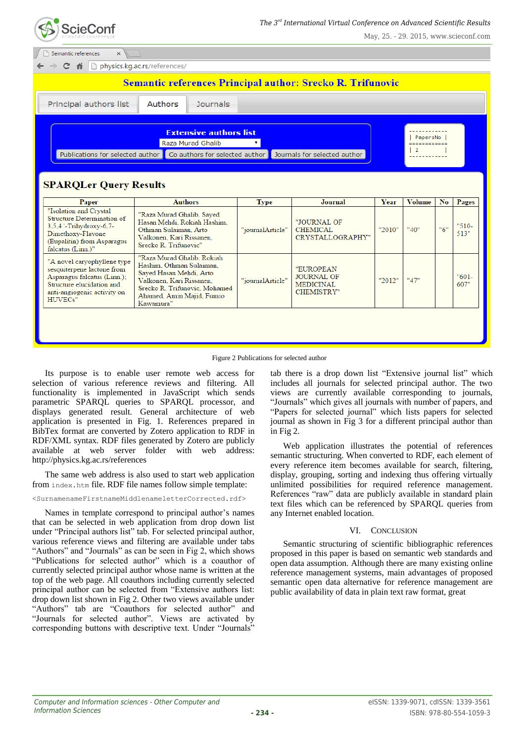

| Semantic references<br>$\times$                                                                                                                                                    |                                                                                                                                                                                          |                                 |                                                                         |        |               |                |                 |  |  |  |
|------------------------------------------------------------------------------------------------------------------------------------------------------------------------------------|------------------------------------------------------------------------------------------------------------------------------------------------------------------------------------------|---------------------------------|-------------------------------------------------------------------------|--------|---------------|----------------|-----------------|--|--|--|
| physics.kg.ac.rs/references/<br>C<br>一个                                                                                                                                            |                                                                                                                                                                                          |                                 |                                                                         |        |               |                |                 |  |  |  |
| <b>Semantic references Principal author: Srecko R. Trifunovic</b>                                                                                                                  |                                                                                                                                                                                          |                                 |                                                                         |        |               |                |                 |  |  |  |
| Principal authors list                                                                                                                                                             | Authors<br><b>Journals</b>                                                                                                                                                               |                                 |                                                                         |        |               |                |                 |  |  |  |
| <b>Extensive authors list</b><br>PapersNo<br>Raza Murad Ghalib<br>-------------<br>Publications for selected author Co authors for selected author<br>Journals for selected author |                                                                                                                                                                                          |                                 |                                                                         |        |               |                |                 |  |  |  |
| <b>SPARQLer Query Results</b><br>Paper                                                                                                                                             | <b>Authors</b>                                                                                                                                                                           |                                 | Journal                                                                 | Year   | <b>Volume</b> | N <sub>o</sub> | Pages           |  |  |  |
| "Isolation and Crystal<br>Structure Determination of<br>3.5.4 '-Trihydroxy-6.7-<br>Dimethoxy-Flavone<br>(Eupalitin) from Asparagus<br>falcatus (Linn.)"                            | "Raza Murad Ghalib, Sayed<br>Hasan Mehdi, Rokiah Hashim.<br>Othman Sulaiman, Arto<br>Valkonen, Kari Rissanen,<br>Srecko R. Trifunovic"                                                   | <b>Type</b><br>"journalArticle" | "JOURNAL OF<br><b>CHEMICAL</b><br>CRYSTALLOGRAPHY"                      | "2010" | "40"          | "6"            | $"510-$<br>513" |  |  |  |
| "A novel caryophyllene type<br>sesquiterpene lactone from<br>Asparagus falcatus (Linn.);<br>Structure elucidation and<br>anti-angiogenic activity on<br>HUVECs"                    | "Raza Murad Ghalib, Rokiah<br>Hashim, Othman Sulaiman.<br>Sayed Hasan Mehdi, Arto<br>Valkonen, Kari Rissanen.<br>Srecko R. Trifunovic, Mohamed<br>Ahamed, Amin Majid, Fumio<br>Kawamura" | "journalArticle"                | "EUROPEAN<br><b>JOURNAL OF</b><br><b>MEDICINAL</b><br><b>CHEMISTRY"</b> | "2012" | "47"          |                | $"601-$<br>607" |  |  |  |
|                                                                                                                                                                                    |                                                                                                                                                                                          |                                 |                                                                         |        |               |                |                 |  |  |  |



Its purpose is to enable user remote web access for selection of various reference reviews and filtering. All functionality is implemented in JavaScript which sends parametric SPARQL queries to SPARQL processor, and displays generated result. General architecture of web application is presented in Fig. 1. References prepared in BibTex format are converted by Zotero application to RDF in RDF/XML syntax. RDF files generated by Zotero are publicly available at web server folder with web address: http://physics.kg.ac.rs/references

The same web address is also used to start web application from index.htm file. RDF file names follow simple template:

<SurnamenameFirstnameMiddlenameletterCorrected.rdf>

Names in template correspond to principal author's names that can be selected in web application from drop down list under "Principal authors list" tab. For selected principal author, various reference views and filtering are available under tabs "Authors" and "Journals" as can be seen in Fig 2, which shows "Publications for selected author" which is a coauthor of currently selected principal author whose name is written at the top of the web page. All coauthors including currently selected principal author can be selected from "Extensive authors list: drop down list shown in Fig 2. Other two views available under "Authors" tab are "Coauthors for selected author" and "Journals for selected author". Views are activated by corresponding buttons with descriptive text. Under "Journals"

tab there is a drop down list "Extensive journal list" which includes all journals for selected principal author. The two views are currently available corresponding to journals, "Journals" which gives all journals with number of papers, and "Papers for selected journal" which lists papers for selected journal as shown in Fig 3 for a different principal author than in Fig 2.

Web application illustrates the potential of references semantic structuring. When converted to RDF, each element of every reference item becomes available for search, filtering, display, grouping, sorting and indexing thus offering virtually unlimited possibilities for required reference management. References "raw" data are publicly available in standard plain text files which can be referenced by SPARQL queries from any Internet enabled location.

# VI. CONCLUSION

Semantic structuring of scientific bibliographic references proposed in this paper is based on semantic web standards and open data assumption. Although there are many existing online reference management systems, main advantages of proposed semantic open data alternative for reference management are public availability of data in plain text raw format, great